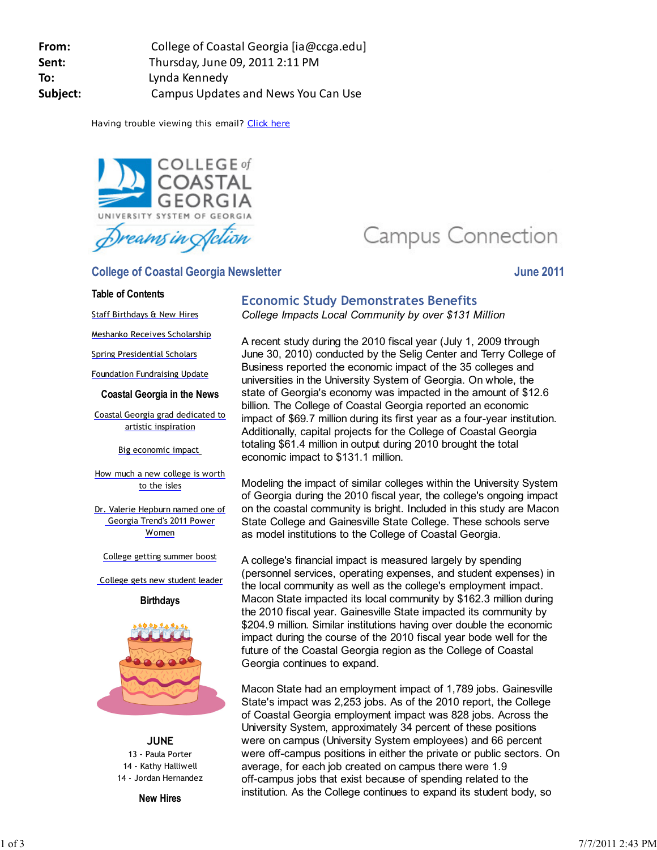**From:** College of Coastal Georgia [ia@ccga.edu] **Sent:** Thursday, June 09, 2011 2:11 PM **To:** Lynda Kennedy **Subject:** Campus Updates and News You Can Use

Having trouble viewing this email? Click here



**College of Coastal Georgia Newsletter College and School School School School School School School School School School School School School School School School School School School School School School School School Sch** 

#### **Table of Contents**

Staff Birthdays & New Hires

Meshanko Receives Scholarship

Spring Presidential Scholars

Foundation Fundraising Update

#### **Coastal Georgia in the News**

Coastal Georgia grad dedicated to artistic inspiration

Big economic impact

How much a new college is worth to the isles

Dr. Valerie Hepburn named one of Georgia Trend's 2011 Power Women

College getting summer boost

College gets new student leader





**JUNE** 13 - Paula Porter 14 - Kathy Halliwell 14 - Jordan Hernandez

**New Hires**

# Campus Connection

## **Economic Study Demonstrates Benefits** *College Impacts Local Community by over \$131 Million*

A recent study during the 2010 fiscal year (July 1, 2009 through June 30, 2010) conducted by the Selig Center and Terry College of Business reported the economic impact of the 35 colleges and universities in the University System of Georgia. On whole, the state of Georgia's economy was impacted in the amount of \$12.6 billion. The College of Coastal Georgia reported an economic impact of \$69.7 million during its first year as a four-year institution. Additionally, capital projects for the College of Coastal Georgia totaling \$61.4 million in output during 2010 brought the total economic impact to \$131.1 million.

Modeling the impact of similar colleges within the University System of Georgia during the 2010 fiscal year, the college's ongoing impact on the coastal community is bright. Included in this study are Macon State College and Gainesville State College. These schools serve as model institutions to the College of Coastal Georgia.

A college's financial impact is measured largely by spending (personnel services, operating expenses, and student expenses) in the local community as well as the college's employment impact. Macon State impacted its local community by \$162.3 million during the 2010 fiscal year. Gainesville State impacted its community by \$204.9 million. Similar institutions having over double the economic impact during the course of the 2010 fiscal year bode well for the future of the Coastal Georgia region as the College of Coastal Georgia continues to expand.

Macon State had an employment impact of 1,789 jobs. Gainesville State's impact was 2,253 jobs. As of the 2010 report, the College of Coastal Georgia employment impact was 828 jobs. Across the University System, approximately 34 percent of these positions were on campus (University System employees) and 66 percent were off-campus positions in either the private or public sectors. On average, for each job created on campus there were 1.9 off-campus jobs that exist because of spending related to the institution. As the College continues to expand its student body, so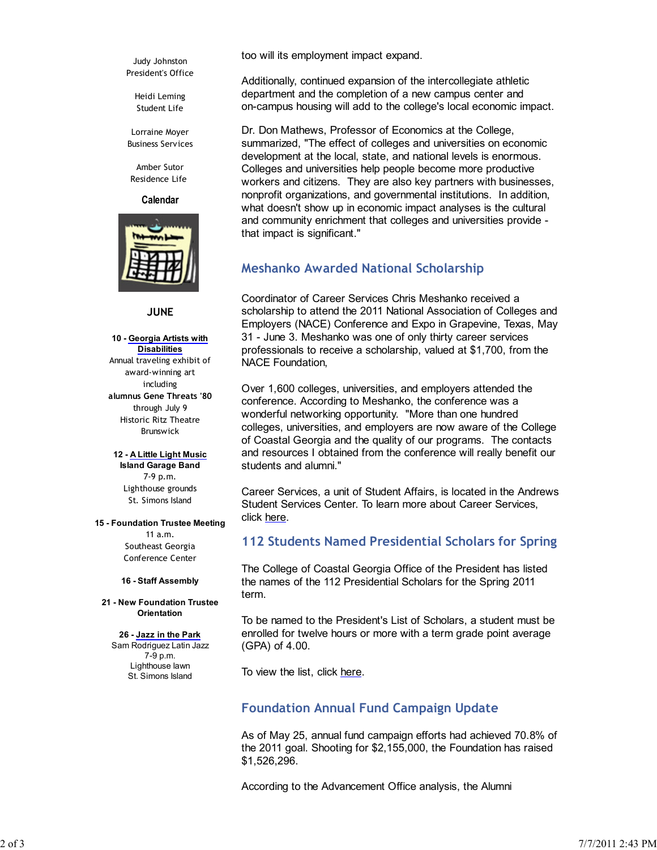Judy Johnston President's Office

> Heidi Leming Student Life

Lorraine Moyer Business Services

Amber Sutor Residence Life

**Calendar**



### **JUNE**

**10 - Georgia Artists with Disabilities** Annual traveling exhibit of award-winning art including **alumnus Gene Threats '80** through July 9 Historic Ritz Theatre Brunswick

**12 - A Little Light Music Island Garage Band** 7-9 p.m. Lighthouse grounds St. Simons Island

#### **15 - Foundation Trustee Meeting**

11 a.m. Southeast Georgia Conference Center

#### **16 - Staff Assembly**

**21 - New Foundation Trustee Orientation**

#### **26 - Jazz in the Park**

Sam Rodriguez Latin Jazz 7-9 p.m. Lighthouse lawn St. Simons Island

too will its employment impact expand.

Additionally, continued expansion of the intercollegiate athletic department and the completion of a new campus center and on-campus housing will add to the college's local economic impact.

Dr. Don Mathews, Professor of Economics at the College, summarized, "The effect of colleges and universities on economic development at the local, state, and national levels is enormous. Colleges and universities help people become more productive workers and citizens. They are also key partners with businesses, nonprofit organizations, and governmental institutions. In addition, what doesn't show up in economic impact analyses is the cultural and community enrichment that colleges and universities provide that impact is significant."

# **Meshanko Awarded National Scholarship**

Coordinator of Career Services Chris Meshanko received a scholarship to attend the 2011 National Association of Colleges and Employers (NACE) Conference and Expo in Grapevine, Texas, May 31 - June 3. Meshanko was one of only thirty career services professionals to receive a scholarship, valued at \$1,700, from the NACE Foundation,

Over 1,600 colleges, universities, and employers attended the conference. According to Meshanko, the conference was a wonderful networking opportunity. "More than one hundred colleges, universities, and employers are now aware of the College of Coastal Georgia and the quality of our programs. The contacts and resources I obtained from the conference will really benefit our students and alumni."

Career Services, a unit of Student Affairs, is located in the Andrews Student Services Center. To learn more about Career Services, click here.

# **112 Students Named Presidential Scholars for Spring**

The College of Coastal Georgia Office of the President has listed the names of the 112 Presidential Scholars for the Spring 2011 term.

To be named to the President's List of Scholars, a student must be enrolled for twelve hours or more with a term grade point average (GPA) of 4.00.

To view the list, click here.

# **Foundation Annual Fund Campaign Update**

As of May 25, annual fund campaign efforts had achieved 70.8% of the 2011 goal. Shooting for \$2,155,000, the Foundation has raised \$1,526,296.

According to the Advancement Office analysis, the Alumni